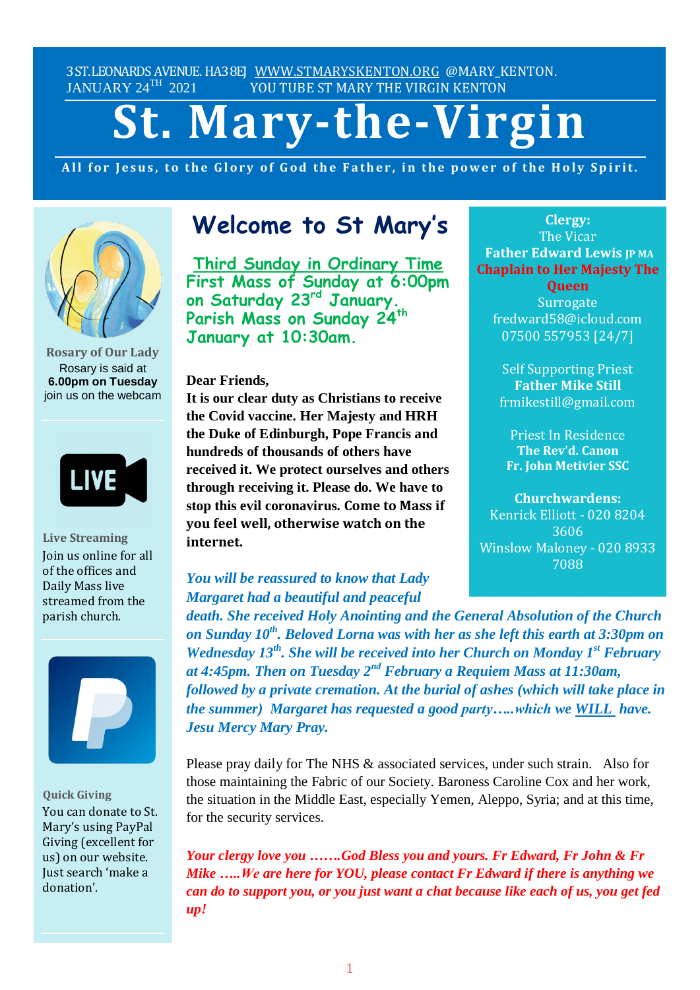3ST.LEONARDS AVENUE. HA38EJ [WWW.STMARYSKENTON.ORG](http://www.stmaryskenton.org/) @MARY\_KENTON.<br>JANUARY 24<sup>TH</sup> 2021 YOU TUBE ST MARY THE VIRGIN KENTON YOU TUBE ST MARY THE VIRGIN KENTON

# **St. Mary-the-Virgin**

All for Jesus, to the Glory of God the Father, in the power of the Holy Spirit.



**Rosary of Our Lady** Rosary is said at **6.00pm on Tuesday** join us on the webcam



**Live Streaming** Join us online for all of the offices and Daily Mass live streamed from the parish church.



**Quick Giving** You can donate to St. Mary's using PayPal Giving (excellent for us) on our website. Just search 'make a donation'.

# **Welcome to St Mary's**

**Third Sunday in Ordinary Time First Mass of Sunday at 6:00pm on Saturday 23rd January. Parish Mass on Sunday 24th January at 10:30am.**

**Dear Friends,**

**It is our clear duty as Christians to receive the Covid vaccine. Her Majesty and HRH the Duke of Edinburgh, Pope Francis and hundreds of thousands of others have received it. We protect ourselves and others through receiving it. Please do. We have to stop this evil coronavirus. Come to Mass if you feel well, otherwise watch on the internet.**

*You will be reassured to know that Lady Margaret had a beautiful and peaceful*

death. She received Holy Anointing and the General Absolution of the Church on Sunday 10<sup>th</sup>. Beloved Lorna was with her as she left this earth at 3:30pm on *Wednesday 13th . She will be received into her Church on Monday 1 st February at 4:45pm. Then on Tuesday 2 nd February a Requiem Mass at 11:30am, followed by a private cremation. At the burial of ashes (which will take place in the summer) Margaret has requested a good party…..which we WILL have. Jesu Mercy Mary Pray. Please let Fr. Edward know*

Please pray daily for The NHS & associated services, under such strain. Also for those maintaining the Fabric of our Society. Baroness Caroline Cox and her work, the situation in the Middle East, especially Yemen, Aleppo, Syria; and at this time, for the security services.

*Your clergy love you …….God Bless you and yours. Fr Edward, Fr John & Fr Mike …..We are here for YOU, please contact Fr Edward if there is anything we can do to support you, or you just want a chat because like each of us, you get fed up!*

# **Clergy:** The Vicar **Father Edward Lewis JP MA Chaplain to Her Majesty The**

**Queen Surrogate** fredward58@icloud.com 07500 557953 [24/7]

Self Supporting Priest **Father Mike Still** frmikestill@gmail.com

Priest In Residence **The Rev'd. Canon Fr. John Metivier SSC**

**Churchwardens:** Kenrick Elliott - 020 8204 3606 Winslow Maloney - 020 8933 7088